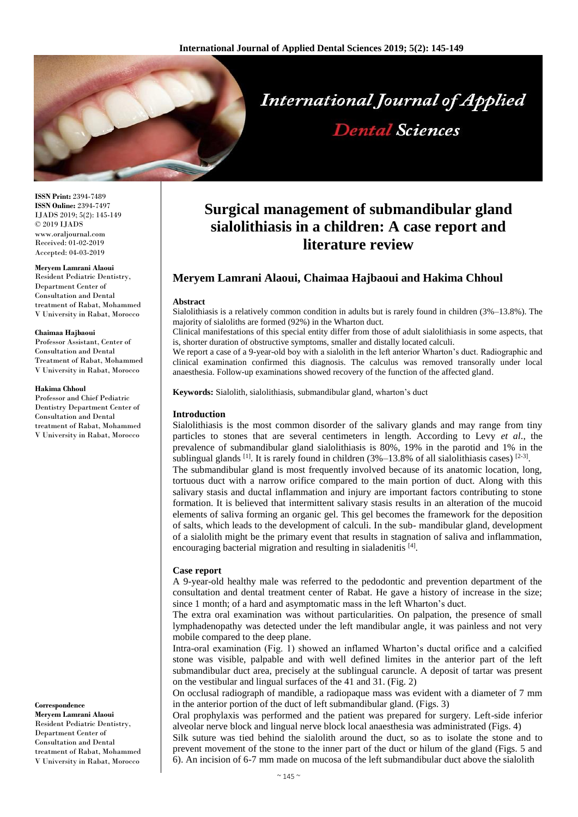

**ISSN Print:** 2394-7489 **ISSN Online:** 2394-7497 IJADS 2019; 5(2): 145-149 © 2019 IJADS www.oraljournal.com Received: 01-02-2019 Accepted: 04-03-2019

#### **Meryem Lamrani Alaoui**

Resident Pediatric Dentistry, Department Center of Consultation and Dental treatment of Rabat, Mohammed V University in Rabat, Morocco

#### **Chaimaa Hajbaoui**

Professor Assistant, Center of Consultation and Dental Treatment of Rabat, Mohammed V University in Rabat, Morocco

#### **Hakima Chhoul**

Professor and Chief Pediatric Dentistry Department Center of Consultation and Dental treatment of Rabat, Mohammed V University in Rabat, Morocco

**Correspondence Meryem Lamrani Alaoui** Resident Pediatric Dentistry, Department Center of Consultation and Dental treatment of Rabat, Mohammed V University in Rabat, Morocco

# **Surgical management of submandibular gland sialolithiasis in a children: A case report and literature review**

# **Meryem Lamrani Alaoui, Chaimaa Hajbaoui and Hakima Chhoul**

#### **Abstract**

Sialolithiasis is a relatively common condition in adults but is rarely found in children (3%–13.8%). The majority of sialoliths are formed (92%) in the Wharton duct.

Clinical manifestations of this special entity differ from those of adult sialolithiasis in some aspects, that is, shorter duration of obstructive symptoms, smaller and distally located calculi.

We report a case of a 9-year-old boy with a sialolith in the left anterior Wharton's duct. Radiographic and clinical examination confirmed this diagnosis. The calculus was removed transorally under local anaesthesia. Follow-up examinations showed recovery of the function of the affected gland.

**Keywords:** Sialolith, sialolithiasis, submandibular gland, wharton's duct

#### **Introduction**

Sialolithiasis is the most common disorder of the salivary glands and may range from tiny particles to stones that are several centimeters in length. According to Levy *et al*., the prevalence of submandibular gland sialolithiasis is 80%, 19% in the parotid and 1% in the sublingual glands  $^{[1]}$ . It is rarely found in children (3%–13.8% of all sialolithiasis cases)  $^{[2-3]}$ .

The submandibular gland is most frequently involved because of its anatomic location, long, tortuous duct with a narrow orifice compared to the main portion of duct. Along with this salivary stasis and ductal inflammation and injury are important factors contributing to stone formation. It is believed that intermittent salivary stasis results in an alteration of the mucoid elements of saliva forming an organic gel. This gel becomes the framework for the deposition of salts, which leads to the development of calculi. In the sub- mandibular gland, development of a sialolith might be the primary event that results in stagnation of saliva and inflammation, encouraging bacterial migration and resulting in sialadenitis<sup>[4]</sup>.

#### **Case report**

A 9-year-old healthy male was referred to the pedodontic and prevention department of the consultation and dental treatment center of Rabat. He gave a history of increase in the size; since 1 month; of a hard and asymptomatic mass in the left Wharton's duct.

The extra oral examination was without particularities. On palpation, the presence of small lymphadenopathy was detected under the left mandibular angle, it was painless and not very mobile compared to the deep plane.

Intra-oral examination (Fig. 1) showed an inflamed Wharton's ductal orifice and a calcified stone was visible, palpable and with well defined limites in the anterior part of the left submandibular duct area, precisely at the sublingual caruncle. A deposit of tartar was present on the vestibular and lingual surfaces of the 41 and 31. (Fig. 2)

On occlusal radiograph of mandible, a radiopaque mass was evident with a diameter of 7 mm in the anterior portion of the duct of left submandibular gland. (Figs. 3)

Oral prophylaxis was performed and the patient was prepared for surgery. Left-side inferior alveolar nerve block and lingual nerve block local anaesthesia was administrated (Figs. 4)

Silk suture was tied behind the sialolith around the duct, so as to isolate the stone and to prevent movement of the stone to the inner part of the duct or hilum of the gland (Figs. 5 and 6). An incision of 6-7 mm made on mucosa of the left submandibular duct above the sialolith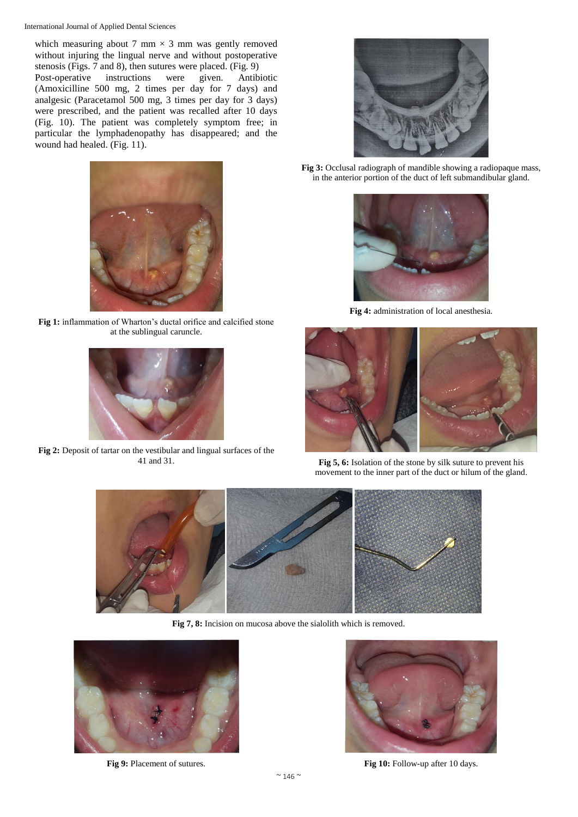International Journal of Applied Dental Sciences

which measuring about 7 mm  $\times$  3 mm was gently removed without injuring the lingual nerve and without postoperative stenosis (Figs. 7 and 8), then sutures were placed. (Fig. 9)<br>Post-operative instructions were given. Antib Post-operative instructions were given. Antibiotic (Amoxicilline 500 mg, 2 times per day for 7 days) and analgesic (Paracetamol 500 mg, 3 times per day for 3 days) were prescribed, and the patient was recalled after 10 days (Fig. 10). The patient was completely symptom free; in particular the lymphadenopathy has disappeared; and the wound had healed. (Fig. 11).



**Fig 1:** inflammation of Wharton's ductal orifice and calcified stone at the sublingual caruncle.



**Fig 2:** Deposit of tartar on the vestibular and lingual surfaces of the 41 and 31.



**Fig 3:** Occlusal radiograph of mandible showing a radiopaque mass, in the anterior portion of the duct of left submandibular gland.



**Fig 4:** administration of local anesthesia.



**Fig 5, 6:** Isolation of the stone by silk suture to prevent his movement to the inner part of the duct or hilum of the gland.



**Fig 7, 8:** Incision on mucosa above the sialolith which is removed.





**Fig 9:** Placement of sutures. **Fig 10:** Follow-up after 10 days.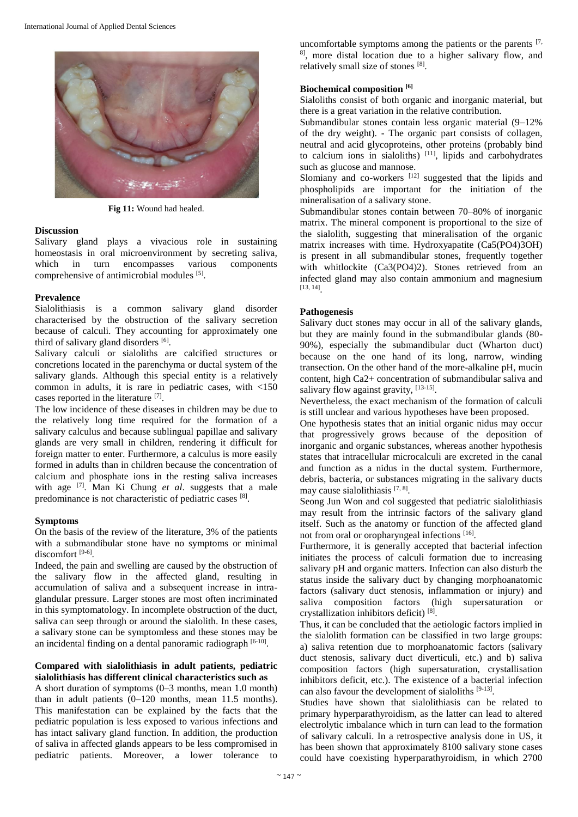

**Fig 11:** Wound had healed.

#### **Discussion**

Salivary gland plays a vivacious role in sustaining homeostasis in oral microenvironment by secreting saliva, which in turn encompasses various components comprehensive of antimicrobial modules [5].

## **Prevalence**

Sialolithiasis is a common salivary gland disorder characterised by the obstruction of the salivary secretion because of calculi. They accounting for approximately one third of salivary gland disorders  $[6]$ .

Salivary calculi or sialoliths are calcified structures or concretions located in the parenchyma or ductal system of the salivary glands. Although this special entity is a relatively common in adults, it is rare in pediatric cases, with <150 cases reported in the literature [7].

The low incidence of these diseases in children may be due to the relatively long time required for the formation of a salivary calculus and because sublingual papillae and salivary glands are very small in children, rendering it difficult for foreign matter to enter. Furthermore, a calculus is more easily formed in adults than in children because the concentration of calcium and phosphate ions in the resting saliva increases with age <sup>[7]</sup>. Man Ki Chung *et al*. suggests that a male predominance is not characteristic of pediatric cases [8].

## **Symptoms**

On the basis of the review of the literature, 3% of the patients with a submandibular stone have no symptoms or minimal discomfort<sup>[9-6]</sup>.

Indeed, the pain and swelling are caused by the obstruction of the salivary flow in the affected gland, resulting in accumulation of saliva and a subsequent increase in intraglandular pressure. Larger stones are most often incriminated in this symptomatology. In incomplete obstruction of the duct, saliva can seep through or around the sialolith. In these cases, a salivary stone can be symptomless and these stones may be an incidental finding on a dental panoramic radiograph [6-10].

#### **Compared with sialolithiasis in adult patients, pediatric sialolithiasis has different clinical characteristics such as**

A short duration of symptoms (0–3 months, mean 1.0 month) than in adult patients (0–120 months, mean 11.5 months). This manifestation can be explained by the facts that the pediatric population is less exposed to various infections and has intact salivary gland function. In addition, the production of saliva in affected glands appears to be less compromised in pediatric patients. Moreover, a lower tolerance to

uncomfortable symptoms among the patients or the parents  $[7, 1]$ 8] , more distal location due to a higher salivary flow, and relatively small size of stones [8].

## **Biochemical composition [6]**

Sialoliths consist of both organic and inorganic material, but there is a great variation in the relative contribution.

Submandibular stones contain less organic material (9–12% of the dry weight). - The organic part consists of collagen, neutral and acid glycoproteins, other proteins (probably bind to calcium ions in sialoliths)  $[11]$ , lipids and carbohydrates such as glucose and mannose.

Slomiany and co-workers  $[12]$  suggested that the lipids and phospholipids are important for the initiation of the mineralisation of a salivary stone.

Submandibular stones contain between 70–80% of inorganic matrix. The mineral component is proportional to the size of the sialolith, suggesting that mineralisation of the organic matrix increases with time. Hydroxyapatite (Ca5(PO4)3OH) is present in all submandibular stones, frequently together with whitlockite (Ca3(PO4)2). Stones retrieved from an infected gland may also contain ammonium and magnesium [13, 14] .

## **Pathogenesis**

Salivary duct stones may occur in all of the salivary glands, but they are mainly found in the submandibular glands (80- 90%), especially the submandibular duct (Wharton duct) because on the one hand of its long, narrow, winding transection. On the other hand of the more-alkaline pH, mucin content, high Ca2+ concentration of submandibular saliva and salivary flow against gravity, [13-15].

Nevertheless, the exact mechanism of the formation of calculi is still unclear and various hypotheses have been proposed.

One hypothesis states that an initial organic nidus may occur that progressively grows because of the deposition of inorganic and organic substances, whereas another hypothesis states that intracellular microcalculi are excreted in the canal and function as a nidus in the ductal system. Furthermore, debris, bacteria, or substances migrating in the salivary ducts may cause sialolithiasis [7, 8].

Seong Jun Won and col suggested that pediatric sialolithiasis may result from the intrinsic factors of the salivary gland itself. Such as the anatomy or function of the affected gland not from oral or oropharyngeal infections [16].

Furthermore, it is generally accepted that bacterial infection initiates the process of calculi formation due to increasing salivary pH and organic matters. Infection can also disturb the status inside the salivary duct by changing morphoanatomic factors (salivary duct stenosis, inflammation or injury) and saliva composition factors (high supersaturation or crystallization inhibitors deficit) [8].

Thus, it can be concluded that the aetiologic factors implied in the sialolith formation can be classified in two large groups: a) saliva retention due to morphoanatomic factors (salivary duct stenosis, salivary duct diverticuli, etc.) and b) saliva composition factors (high supersaturation, crystallisation inhibitors deficit, etc.). The existence of a bacterial infection can also favour the development of sialoliths [9-13].

Studies have shown that sialolithiasis can be related to primary hyperparathyroidism, as the latter can lead to altered electrolytic imbalance which in turn can lead to the formation of salivary calculi. In a retrospective analysis done in US, it has been shown that approximately 8100 salivary stone cases could have coexisting hyperparathyroidism, in which 2700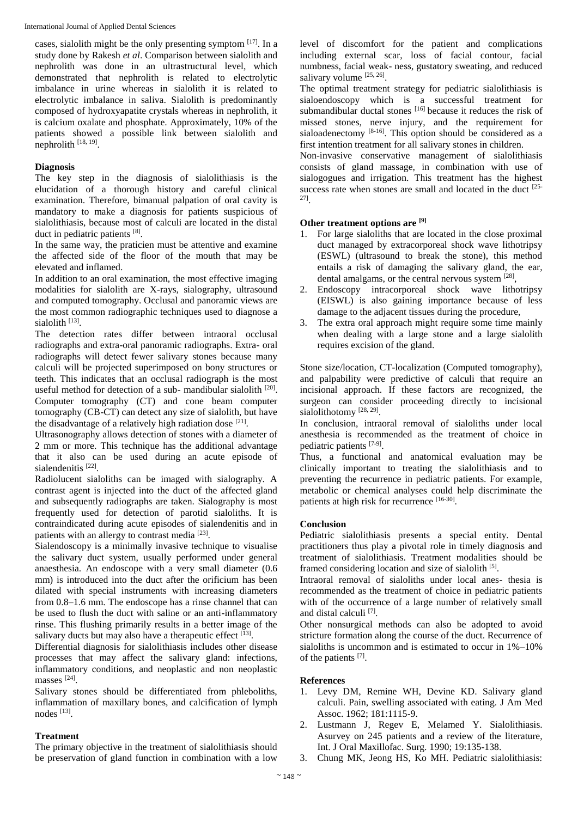cases, sialolith might be the only presenting symptom [17]. In a study done by Rakesh *et al*. Comparison between sialolith and nephrolith was done in an ultrastructural level, which demonstrated that nephrolith is related to electrolytic imbalance in urine whereas in sialolith it is related to electrolytic imbalance in saliva. Sialolith is predominantly composed of hydroxyapatite crystals whereas in nephrolith, it is calcium oxalate and phosphate. Approximately, 10% of the patients showed a possible link between sialolith and nephrolith [18, 19].

#### **Diagnosis**

The key step in the diagnosis of sialolithiasis is the elucidation of a thorough history and careful clinical examination. Therefore, bimanual palpation of oral cavity is mandatory to make a diagnosis for patients suspicious of sialolithiasis, because most of calculi are located in the distal duct in pediatric patients [8].

In the same way, the praticien must be attentive and examine the affected side of the floor of the mouth that may be elevated and inflamed.

In addition to an oral examination, the most effective imaging modalities for sialolith are X-rays, sialography, ultrasound and computed tomography. Occlusal and panoramic views are the most common radiographic techniques used to diagnose a sialolith<sup>[13]</sup>.

The detection rates differ between intraoral occlusal radiographs and extra-oral panoramic radiographs. Extra- oral radiographs will detect fewer salivary stones because many calculi will be projected superimposed on bony structures or teeth. This indicates that an occlusal radiograph is the most useful method for detection of a sub-mandibular sialolith [20]. Computer tomography (CT) and cone beam computer tomography (CB-CT) can detect any size of sialolith, but have the disadvantage of a relatively high radiation dose [21].

Ultrasonography allows detection of stones with a diameter of 2 mm or more. This technique has the additional advantage that it also can be used during an acute episode of sialendenitis<sup>[22]</sup>.

Radiolucent sialoliths can be imaged with sialography. A contrast agent is injected into the duct of the affected gland and subsequently radiographs are taken. Sialography is most frequently used for detection of parotid sialoliths. It is contraindicated during acute episodes of sialendenitis and in patients with an allergy to contrast media [23].

Sialendoscopy is a minimally invasive technique to visualise the salivary duct system, usually performed under general anaesthesia. An endoscope with a very small diameter (0.6 mm) is introduced into the duct after the orificium has been dilated with special instruments with increasing diameters from 0.8–1.6 mm. The endoscope has a rinse channel that can be used to flush the duct with saline or an anti-inflammatory rinse. This flushing primarily results in a better image of the salivary ducts but may also have a therapeutic effect [13].

Differential diagnosis for sialolithiasis includes other disease processes that may affect the salivary gland: infections, inflammatory conditions, and neoplastic and non neoplastic masses<sup>[24]</sup>.

Salivary stones should be differentiated from phleboliths, inflammation of maxillary bones, and calcification of lymph nodes<sup>[13]</sup>.

## **Treatment**

The primary objective in the treatment of sialolithiasis should be preservation of gland function in combination with a low

level of discomfort for the patient and complications including external scar, loss of facial contour, facial numbness, facial weak- ness, gustatory sweating, and reduced salivary volume [25, 26].

The optimal treatment strategy for pediatric sialolithiasis is sialoendoscopy which is a successful treatment for submandibular ductal stones [16] because it reduces the risk of missed stones, nerve injury, and the requirement for sialoadenectomy  $[8-16]$ . This option should be considered as a first intention treatment for all salivary stones in children.

Non-invasive conservative management of sialolithiasis consists of gland massage, in combination with use of sialogogues and irrigation. This treatment has the highest success rate when stones are small and located in the duct  $[25-$ 27] .

#### **Other treatment options are [9]**

- 1. For large sialoliths that are located in the close proximal duct managed by extracorporeal shock wave lithotripsy (ESWL) (ultrasound to break the stone), this method entails a risk of damaging the salivary gland, the ear, dental amalgams, or the central nervous system [28],
- 2. Endoscopy intracorporeal shock wave lithotripsy (EISWL) is also gaining importance because of less damage to the adjacent tissues during the procedure,
- 3. The extra oral approach might require some time mainly when dealing with a large stone and a large sialolith requires excision of the gland.

Stone size/location, CT-localization (Computed tomography), and palpability were predictive of calculi that require an incisional approach. If these factors are recognized, the surgeon can consider proceeding directly to incisional sialolithotomy<sup>[28, 29]</sup>.

In conclusion, intraoral removal of sialoliths under local anesthesia is recommended as the treatment of choice in pediatric patients [7-9] .

Thus, a functional and anatomical evaluation may be clinically important to treating the sialolithiasis and to preventing the recurrence in pediatric patients. For example, metabolic or chemical analyses could help discriminate the patients at high risk for recurrence [16-30].

#### **Conclusion**

Pediatric sialolithiasis presents a special entity. Dental practitioners thus play a pivotal role in timely diagnosis and treatment of sialolithiasis. Treatment modalities should be framed considering location and size of sialolith [5].

Intraoral removal of sialoliths under local anes- thesia is recommended as the treatment of choice in pediatric patients with of the occurrence of a large number of relatively small and distal calculi<sup>[7]</sup>.

Other nonsurgical methods can also be adopted to avoid stricture formation along the course of the duct. Recurrence of sialoliths is uncommon and is estimated to occur in 1%–10% of the patients [7].

#### **References**

- 1. Levy DM, Remine WH, Devine KD. Salivary gland calculi. Pain, swelling associated with eating. J Am Med Assoc. 1962; 181:1115-9.
- 2. Lustmann J, Regev E, Melamed Y. Sialolithiasis. Asurvey on 245 patients and a review of the literature, Int. J Oral Maxillofac. Surg. 1990; 19:135-138.
- 3. Chung MK, Jeong HS, Ko MH. Pediatric sialolithiasis: